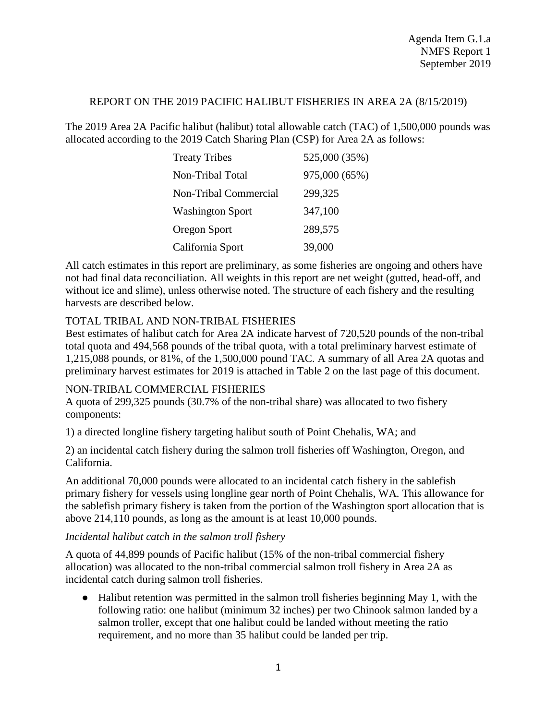### REPORT ON THE 2019 PACIFIC HALIBUT FISHERIES IN AREA 2A (8/15/2019)

The 2019 Area 2A Pacific halibut (halibut) total allowable catch (TAC) of 1,500,000 pounds was allocated according to the 2019 Catch Sharing Plan (CSP) for Area 2A as follows:

| <b>Treaty Tribes</b>    | 525,000 (35%) |
|-------------------------|---------------|
| Non-Tribal Total        | 975,000 (65%) |
| Non-Tribal Commercial   | 299,325       |
| <b>Washington Sport</b> | 347,100       |
| Oregon Sport            | 289,575       |
| California Sport        | 39,000        |

All catch estimates in this report are preliminary, as some fisheries are ongoing and others have not had final data reconciliation. All weights in this report are net weight (gutted, head-off, and without ice and slime), unless otherwise noted. The structure of each fishery and the resulting harvests are described below.

# TOTAL TRIBAL AND NON-TRIBAL FISHERIES

Best estimates of halibut catch for Area 2A indicate harvest of 720,520 pounds of the non-tribal total quota and 494,568 pounds of the tribal quota, with a total preliminary harvest estimate of 1,215,088 pounds, or 81%, of the 1,500,000 pound TAC. A summary of all Area 2A quotas and preliminary harvest estimates for 2019 is attached in Table 2 on the last page of this document.

#### NON-TRIBAL COMMERCIAL FISHERIES

A quota of 299,325 pounds (30.7% of the non-tribal share) was allocated to two fishery components:

1) a directed longline fishery targeting halibut south of Point Chehalis, WA; and

2) an incidental catch fishery during the salmon troll fisheries off Washington, Oregon, and California.

An additional 70,000 pounds were allocated to an incidental catch fishery in the sablefish primary fishery for vessels using longline gear north of Point Chehalis, WA. This allowance for the sablefish primary fishery is taken from the portion of the Washington sport allocation that is above 214,110 pounds, as long as the amount is at least 10,000 pounds.

# *Incidental halibut catch in the salmon troll fishery*

A quota of 44,899 pounds of Pacific halibut (15% of the non-tribal commercial fishery allocation) was allocated to the non-tribal commercial salmon troll fishery in Area 2A as incidental catch during salmon troll fisheries.

● Halibut retention was permitted in the salmon troll fisheries beginning May 1, with the following ratio: one halibut (minimum 32 inches) per two Chinook salmon landed by a salmon troller, except that one halibut could be landed without meeting the ratio requirement, and no more than 35 halibut could be landed per trip.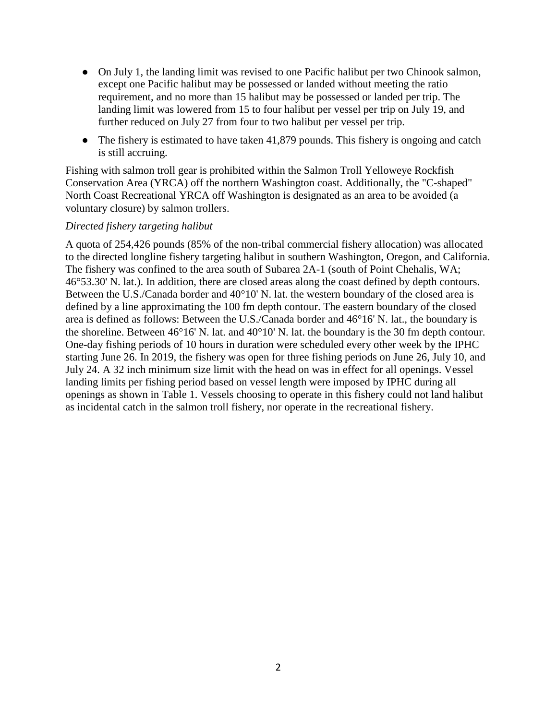- On July 1, the landing limit was revised to one Pacific halibut per two Chinook salmon, except one Pacific halibut may be possessed or landed without meeting the ratio requirement, and no more than 15 halibut may be possessed or landed per trip. The landing limit was lowered from 15 to four halibut per vessel per trip on July 19, and further reduced on July 27 from four to two halibut per vessel per trip.
- The fishery is estimated to have taken 41,879 pounds. This fishery is ongoing and catch is still accruing.

Fishing with salmon troll gear is prohibited within the Salmon Troll Yelloweye Rockfish Conservation Area (YRCA) off the northern Washington coast. Additionally, the "C-shaped" North Coast Recreational YRCA off Washington is designated as an area to be avoided (a voluntary closure) by salmon trollers.

### *Directed fishery targeting halibut*

A quota of 254,426 pounds (85% of the non-tribal commercial fishery allocation) was allocated to the directed longline fishery targeting halibut in southern Washington, Oregon, and California. The fishery was confined to the area south of Subarea 2A-1 (south of Point Chehalis, WA; 46°53.30' N. lat.). In addition, there are closed areas along the coast defined by depth contours. Between the U.S./Canada border and 40°10' N. lat. the western boundary of the closed area is defined by a line approximating the 100 fm depth contour. The eastern boundary of the closed area is defined as follows: Between the U.S./Canada border and 46°16' N. lat., the boundary is the shoreline. Between 46°16' N. lat. and 40°10' N. lat. the boundary is the 30 fm depth contour. One-day fishing periods of 10 hours in duration were scheduled every other week by the IPHC starting June 26. In 2019, the fishery was open for three fishing periods on June 26, July 10, and July 24. A 32 inch minimum size limit with the head on was in effect for all openings. Vessel landing limits per fishing period based on vessel length were imposed by IPHC during all openings as shown in Table 1. Vessels choosing to operate in this fishery could not land halibut as incidental catch in the salmon troll fishery, nor operate in the recreational fishery.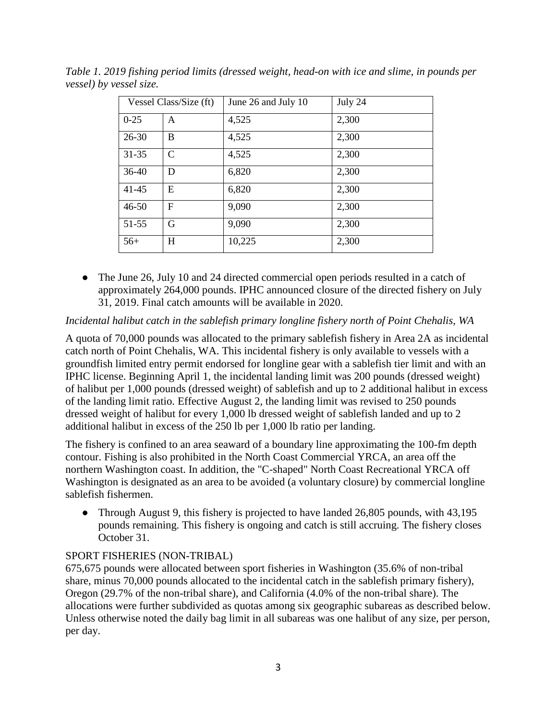| Vessel Class/Size (ft) |               | June 26 and July 10 | July 24 |
|------------------------|---------------|---------------------|---------|
| $0 - 25$               | A             | 4,525               | 2,300   |
| $26 - 30$              | B             | 4,525               | 2,300   |
| $31 - 35$              | $\mathcal{C}$ | 4,525               | 2,300   |
| $36-40$                | D             | 6,820               | 2,300   |
| 41-45                  | Е             | 6,820               | 2,300   |
| $46 - 50$              | F             | 9,090               | 2,300   |
| 51-55                  | G             | 9,090               | 2,300   |
| $56+$                  | $H_{\rm}$     | 10,225              | 2,300   |

*Table 1. 2019 fishing period limits (dressed weight, head-on with ice and slime, in pounds per vessel) by vessel size.* 

• The June 26, July 10 and 24 directed commercial open periods resulted in a catch of approximately 264,000 pounds. IPHC announced closure of the directed fishery on July 31, 2019. Final catch amounts will be available in 2020.

### *Incidental halibut catch in the sablefish primary longline fishery north of Point Chehalis, WA*

A quota of 70,000 pounds was allocated to the primary sablefish fishery in Area 2A as incidental catch north of Point Chehalis, WA. This incidental fishery is only available to vessels with a groundfish limited entry permit endorsed for longline gear with a sablefish tier limit and with an IPHC license. Beginning April 1, the incidental landing limit was 200 pounds (dressed weight) of halibut per 1,000 pounds (dressed weight) of sablefish and up to 2 additional halibut in excess of the landing limit ratio. Effective August 2, the landing limit was revised to 250 pounds dressed weight of halibut for every 1,000 lb dressed weight of sablefish landed and up to 2 additional halibut in excess of the 250 lb per 1,000 lb ratio per landing.

The fishery is confined to an area seaward of a boundary line approximating the 100-fm depth contour. Fishing is also prohibited in the North Coast Commercial YRCA, an area off the northern Washington coast. In addition, the "C-shaped" North Coast Recreational YRCA off Washington is designated as an area to be avoided (a voluntary closure) by commercial longline sablefish fishermen.

• Through August 9, this fishery is projected to have landed 26,805 pounds, with 43,195 pounds remaining. This fishery is ongoing and catch is still accruing. The fishery closes October 31.

#### SPORT FISHERIES (NON-TRIBAL)

675,675 pounds were allocated between sport fisheries in Washington (35.6% of non-tribal share, minus 70,000 pounds allocated to the incidental catch in the sablefish primary fishery), Oregon (29.7% of the non-tribal share), and California (4.0% of the non-tribal share). The allocations were further subdivided as quotas among six geographic subareas as described below. Unless otherwise noted the daily bag limit in all subareas was one halibut of any size, per person, per day.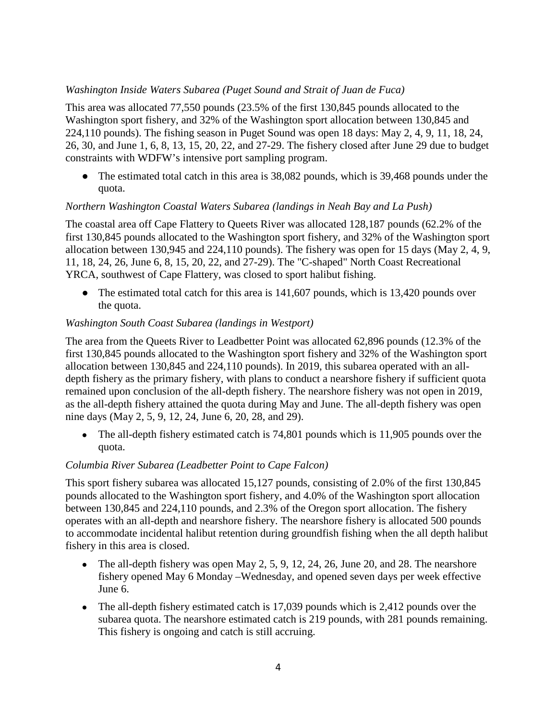## *Washington Inside Waters Subarea (Puget Sound and Strait of Juan de Fuca)*

This area was allocated 77,550 pounds (23.5% of the first 130,845 pounds allocated to the Washington sport fishery, and 32% of the Washington sport allocation between 130,845 and 224,110 pounds). The fishing season in Puget Sound was open 18 days: May 2, 4, 9, 11, 18, 24, 26, 30, and June 1, 6, 8, 13, 15, 20, 22, and 27-29. The fishery closed after June 29 due to budget constraints with WDFW's intensive port sampling program.

• The estimated total catch in this area is 38,082 pounds, which is 39,468 pounds under the quota.

### *Northern Washington Coastal Waters Subarea (landings in Neah Bay and La Push)*

The coastal area off Cape Flattery to Queets River was allocated 128,187 pounds (62.2% of the first 130,845 pounds allocated to the Washington sport fishery, and 32% of the Washington sport allocation between 130,945 and 224,110 pounds). The fishery was open for 15 days (May 2, 4, 9, 11, 18, 24, 26, June 6, 8, 15, 20, 22, and 27-29). The "C-shaped" North Coast Recreational YRCA, southwest of Cape Flattery, was closed to sport halibut fishing.

• The estimated total catch for this area is 141,607 pounds, which is 13,420 pounds over the quota.

### *Washington South Coast Subarea (landings in Westport)*

The area from the Queets River to Leadbetter Point was allocated 62,896 pounds (12.3% of the first 130,845 pounds allocated to the Washington sport fishery and 32% of the Washington sport allocation between 130,845 and 224,110 pounds). In 2019, this subarea operated with an alldepth fishery as the primary fishery, with plans to conduct a nearshore fishery if sufficient quota remained upon conclusion of the all-depth fishery. The nearshore fishery was not open in 2019, as the all-depth fishery attained the quota during May and June. The all-depth fishery was open nine days (May 2, 5, 9, 12, 24, June 6, 20, 28, and 29).

• The all-depth fishery estimated catch is 74,801 pounds which is 11,905 pounds over the quota.

# *Columbia River Subarea (Leadbetter Point to Cape Falcon)*

This sport fishery subarea was allocated 15,127 pounds, consisting of 2.0% of the first 130,845 pounds allocated to the Washington sport fishery, and 4.0% of the Washington sport allocation between 130,845 and 224,110 pounds, and 2.3% of the Oregon sport allocation. The fishery operates with an all-depth and nearshore fishery. The nearshore fishery is allocated 500 pounds to accommodate incidental halibut retention during groundfish fishing when the all depth halibut fishery in this area is closed.

- The all-depth fishery was open May 2, 5, 9, 12, 24, 26, June 20, and 28. The nearshore fishery opened May 6 Monday –Wednesday, and opened seven days per week effective June 6.
- The all-depth fishery estimated catch is 17,039 pounds which is 2,412 pounds over the subarea quota. The nearshore estimated catch is 219 pounds, with 281 pounds remaining. This fishery is ongoing and catch is still accruing.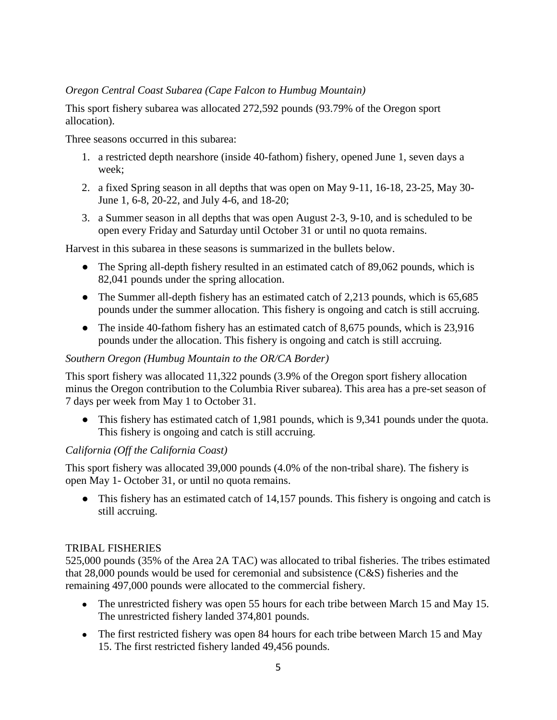## *Oregon Central Coast Subarea (Cape Falcon to Humbug Mountain)*

This sport fishery subarea was allocated 272,592 pounds (93.79% of the Oregon sport allocation).

Three seasons occurred in this subarea:

- 1. a restricted depth nearshore (inside 40-fathom) fishery, opened June 1, seven days a week;
- 2. a fixed Spring season in all depths that was open on May 9-11, 16-18, 23-25, May 30- June 1, 6-8, 20-22, and July 4-6, and 18-20;
- 3. a Summer season in all depths that was open August 2-3, 9-10, and is scheduled to be open every Friday and Saturday until October 31 or until no quota remains.

Harvest in this subarea in these seasons is summarized in the bullets below.

- The Spring all-depth fishery resulted in an estimated catch of 89,062 pounds, which is 82,041 pounds under the spring allocation.
- The Summer all-depth fishery has an estimated catch of 2,213 pounds, which is 65,685 pounds under the summer allocation. This fishery is ongoing and catch is still accruing.
- The inside 40-fathom fishery has an estimated catch of 8,675 pounds, which is 23,916 pounds under the allocation. This fishery is ongoing and catch is still accruing.

#### *Southern Oregon (Humbug Mountain to the OR/CA Border)*

This sport fishery was allocated 11,322 pounds (3.9% of the Oregon sport fishery allocation minus the Oregon contribution to the Columbia River subarea). This area has a pre-set season of 7 days per week from May 1 to October 31.

This fishery has estimated catch of 1,981 pounds, which is 9,341 pounds under the quota. This fishery is ongoing and catch is still accruing.

#### *California (Off the California Coast)*

This sport fishery was allocated 39,000 pounds (4.0% of the non-tribal share). The fishery is open May 1- October 31, or until no quota remains.

• This fishery has an estimated catch of 14,157 pounds. This fishery is ongoing and catch is still accruing.

#### TRIBAL FISHERIES

525,000 pounds (35% of the Area 2A TAC) was allocated to tribal fisheries. The tribes estimated that 28,000 pounds would be used for ceremonial and subsistence (C&S) fisheries and the remaining 497,000 pounds were allocated to the commercial fishery.

- The unrestricted fishery was open 55 hours for each tribe between March 15 and May 15. The unrestricted fishery landed 374,801 pounds.
- The first restricted fishery was open 84 hours for each tribe between March 15 and May 15. The first restricted fishery landed 49,456 pounds.